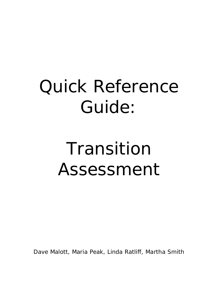# Quick Reference Guide:

# Transition Assessment

Dave Malott, Maria Peak, Linda Ratliff, Martha Smith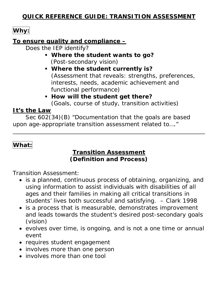### **QUICK REFERENCE GUIDE: TRANSITION ASSESSMENT**

# Why:

#### **To ensure quality and compliance –**

Does the IEP identify?

- **Where the student wants to go?**  (Post-secondary vision)
- **Where the student currently is?**  (Assessment that reveals: strengths, preferences, interests, needs, academic achievement and functional performance)
- **How will the student get there?** (Goals, course of study, transition activities)

#### **It's the Law**

 Sec 602(34)(B) "Documentation that the goals are based upon age-appropriate transition assessment related to…."

# **What:**

 $\overline{a}$ 

#### **Transition Assessment (Definition and Process)**

Transition Assessment:

- is a planned, continuous process of obtaining, organizing, and using information to assist individuals with disabilities of all ages and their families in making all critical transitions in students' lives both successful and satisfying. – Clark 1998
- is a process that is measurable, demonstrates improvement and leads towards the student's desired post-secondary goals (vision)
- evolves over time, is ongoing, and is not a one time or annual event
- requires student engagement
- involves more than one person
- involves more than one tool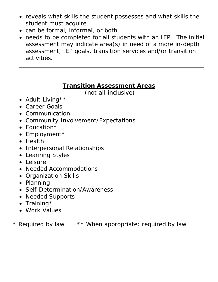- reveals what skills the student possesses and what skills the student must acquire
- can be formal, informal, or both
- needs to be completed for all students with an IEP. The initial assessment may indicate area(s) in need of a more in-depth assessment, IEP goals, transition services and/or transition activities.

 $\overline{\phantom{a}}$  , and the contract of the contract of the contract of the contract of the contract of the contract of the contract of the contract of the contract of the contract of the contract of the contract of the contrac

#### **Transition Assessment Areas**

(not all-inclusive)

- Adult Living\*\*
- Career Goals
- Communication
- Community Involvement/Expectations
- Education\*
- Employment\*
- Health
- Interpersonal Relationships
- Learning Styles
- Leisure
- Needed Accommodations
- Organization Skills
- Planning
- Self-Determination/Awareness
- Needed Supports
- Training\*

l

• Work Values

\* Required by law \*\* When appropriate: required by law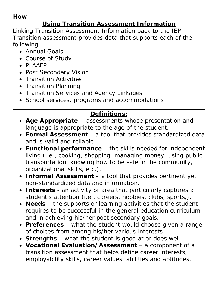### **How**

# **Using Transition Assessment Information**

Linking Transition Assessment Information back to the IEP: Transition assessment provides data that supports each of the following:

- Annual Goals
- Course of Study
- PLAAFP
- Post Secondary Vision
- Transition Activities
- Transition Planning
- Transition Services and Agency Linkages
- School services, programs and accommodations

#### \_\_\_\_\_\_\_\_\_\_\_\_\_\_\_\_\_\_\_\_\_\_\_\_\_\_\_\_\_\_\_\_\_\_\_\_\_\_\_\_\_\_\_\_\_\_\_\_\_\_\_\_\_ **Definitions:**

- **Age Appropriate** assessments whose presentation and language is appropriate to the age of the student.
- **Formal Assessment** a tool that provides standardized data and is valid and reliable.
- **Functional performance** the skills needed for independent living (i.e., cooking, shopping, managing money, using public transportation, knowing how to be safe in the community, organizational skills, etc.).
- **Informal Assessment** a tool that provides pertinent yet non-standardized data and information.
- **Interests** an activity or area that particularly captures a student's attention (i.e., careers, hobbies, clubs, sports,).
- **Needs** the supports or learning activities that the student requires to be successful in the general education curriculum and in achieving his/her post secondary goals.
- **Preferences** what the student would choose given a range of choices from among his/her various interests.
- **Strengths** what the student is good at or does well
- **Vocational Evaluation/Assessment** a component of a transition assessment that helps define career interests, employability skills, career values, abilities and aptitudes.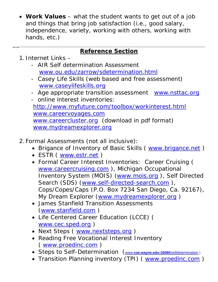• **Work Values** – what the student wants to get out of a job and things that bring job satisfaction (i.e., good salary, independence, variety, working with others, working with hands, etc.)

# **Reference Section**

1. Internet Links –

 $\overline{\phantom{a}}$ 

- AIR Self determination Assessment www.ou.edu/zarrow/sdetermination.html
- Casey Life Skills (web based and free assessment) www.caseylifeskills.org
- Age appropriate transition assessment www.nsttac.org - online interest inventories:

 http://www.myfuture.com/toolbox/workinterest.html www.careervoyages.com www.careercluster.org (download in pdf format) www.mydreamexplorer.org

- 2.Formal Assessments (not all inclusive):
	- Brigance of Inventory of Basic Skills ( www.brigance.net )
	- ESTR ( www.estr.net )
	- Formal Career Interest Inventories: Career Cruising ( www.careercruising.com ), Michigan Occupational Inventory System (MOIS) (www.mois.org ), Self Directed Search (SDS) (www.self-directed-search.com), Cops/Copes/Caps (P.O. Box 7234 San Diego, Ca. 92167), My Dream Explorer (www.mydreamexplorer.org)
	- James Stanfield Transition Assessments (www.stanfield.com )
	- Life Centered Career Education (LCCE) ( www.cec.sped.org )
	- Next Steps ( www.nextsteps.org )
	- Reading Free Vocational Interest Inventory ( www.proedinc.com )
	- Steps to Self-Determination (www.**coe.wayne.edu:16080**/selfdetermination )
	- Transition Planning inventory (TPI) ( www.proedinc.com )